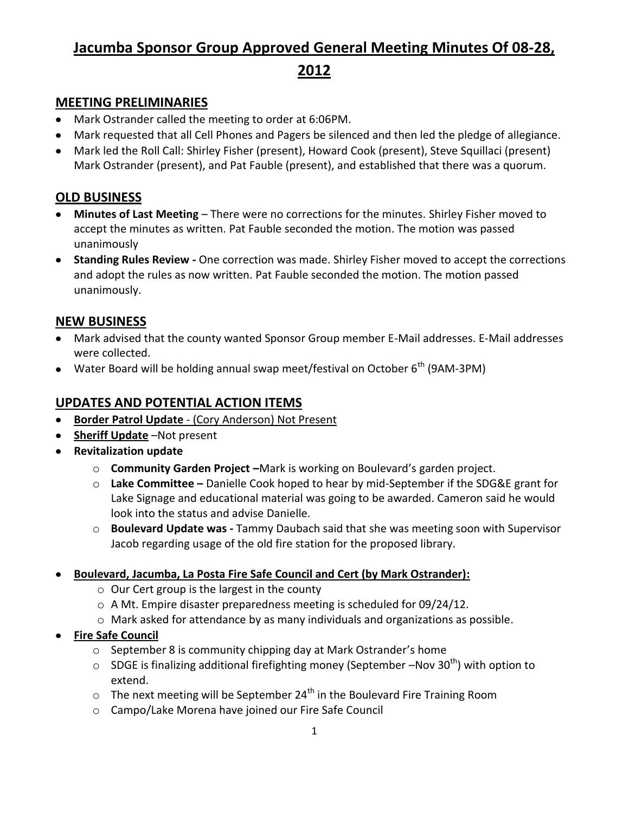# **Jacumba Sponsor Group Approved General Meeting Minutes Of 08-28,**

**2012**

## **MEETING PRELIMINARIES**

- Mark Ostrander called the meeting to order at 6:06PM.
- Mark requested that all Cell Phones and Pagers be silenced and then led the pledge of allegiance.
- Mark led the Roll Call: Shirley Fisher (present), Howard Cook (present), Steve Squillaci (present) Mark Ostrander (present), and Pat Fauble (present), and established that there was a quorum.

## **OLD BUSINESS**

- **Minutes of Last Meeting** There were no corrections for the minutes. Shirley Fisher moved to accept the minutes as written. Pat Fauble seconded the motion. The motion was passed unanimously
- **Standing Rules Review -** One correction was made. Shirley Fisher moved to accept the corrections and adopt the rules as now written. Pat Fauble seconded the motion. The motion passed unanimously.

## **NEW BUSINESS**

- Mark advised that the county wanted Sponsor Group member E-Mail addresses. E-Mail addresses were collected.
- Water Board will be holding annual swap meet/festival on October  $6<sup>th</sup>$  (9AM-3PM)

# **UPDATES AND POTENTIAL ACTION ITEMS**

- **Border Patrol Update** (Cory Anderson) Not Present
- **Sheriff Update** –Not present
- **Revitalization update**
	- o **Community Garden Project –**Mark is working on Boulevard's garden project.
	- o **Lake Committee –** Danielle Cook hoped to hear by mid-September if the SDG&E grant for Lake Signage and educational material was going to be awarded. Cameron said he would look into the status and advise Danielle.
	- o **Boulevard Update was -** Tammy Daubach said that she was meeting soon with Supervisor Jacob regarding usage of the old fire station for the proposed library.
- **Boulevard, Jacumba, La Posta Fire Safe Council and Cert (by Mark Ostrander):**
	- o Our Cert group is the largest in the county
	- o A Mt. Empire disaster preparedness meeting is scheduled for 09/24/12.
	- o Mark asked for attendance by as many individuals and organizations as possible.
- **Fire Safe Council**
	- o September 8 is community chipping day at Mark Ostrander's home
	- $\circ$  SDGE is finalizing additional firefighting money (September –Nov 30<sup>th</sup>) with option to extend.
	- $\circ$  The next meeting will be September 24<sup>th</sup> in the Boulevard Fire Training Room
	- o Campo/Lake Morena have joined our Fire Safe Council